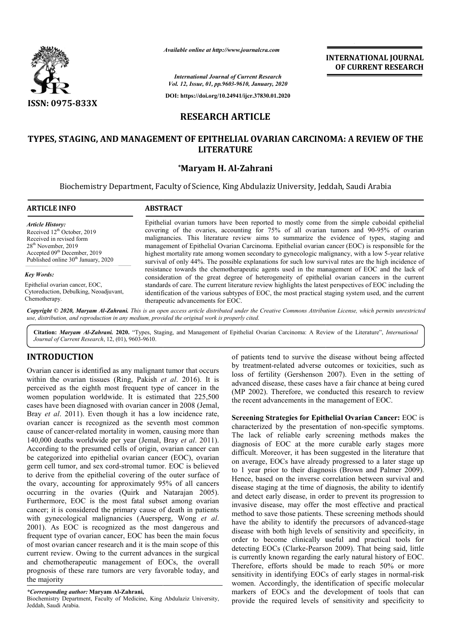

# **RESEARCH ARTICLE**

# **TYPES, STAGING, AND MANAGEMENT OF EPITHELIAL OVARIAN CARCINOMA: A REVIEW OF THE CARCINOMA: A LITERATURE**

## **\*Maryam H. Al-Zahrani**

|                                                                                                                                                                                                                      | Available online at http://www.journalcra.com<br><b>International Journal of Current Research</b><br>Vol. 12, Issue, 01, pp.9603-9610, January, 2020<br>DOI: https://doi.org/10.24941/ijcr.37830.01.2020                                                                                                                                                                                                                                                                                                                                                                                                     | <b>INTERNATIONAL JOURNAL</b><br>OF CURRENT RESEARCH |
|----------------------------------------------------------------------------------------------------------------------------------------------------------------------------------------------------------------------|--------------------------------------------------------------------------------------------------------------------------------------------------------------------------------------------------------------------------------------------------------------------------------------------------------------------------------------------------------------------------------------------------------------------------------------------------------------------------------------------------------------------------------------------------------------------------------------------------------------|-----------------------------------------------------|
| <b>ISSN: 0975-833X</b>                                                                                                                                                                                               | <b>RESEARCH ARTICLE</b>                                                                                                                                                                                                                                                                                                                                                                                                                                                                                                                                                                                      |                                                     |
|                                                                                                                                                                                                                      |                                                                                                                                                                                                                                                                                                                                                                                                                                                                                                                                                                                                              |                                                     |
|                                                                                                                                                                                                                      | TYPES, STAGING, AND MANAGEMENT OF EPITHELIAL OVARIAN CARCINOMA: A REVIEW OF THE<br><b>LITERATURE</b>                                                                                                                                                                                                                                                                                                                                                                                                                                                                                                         |                                                     |
|                                                                                                                                                                                                                      | *Maryam H. Al-Zahrani                                                                                                                                                                                                                                                                                                                                                                                                                                                                                                                                                                                        |                                                     |
|                                                                                                                                                                                                                      | Biochemistry Department, Faculty of Science, King Abdulaziz University, Jeddah, Saudi Arabia                                                                                                                                                                                                                                                                                                                                                                                                                                                                                                                 |                                                     |
| <b>ARTICLE INFO</b>                                                                                                                                                                                                  | <b>ABSTRACT</b>                                                                                                                                                                                                                                                                                                                                                                                                                                                                                                                                                                                              |                                                     |
| <b>Article History:</b><br>Received 12 <sup>th</sup> October, 2019<br>Received in revised form<br>28 <sup>th</sup> November, 2019<br>Accepted 09th December, 2019<br>Published online 30 <sup>th</sup> January, 2020 | Epithelial ovarian tumors have been reported to mostly come from the simple cuboidal epithelial<br>covering of the ovaries, accounting for 75% of all ovarian tumors and 90-95% of ovarian<br>malignancies. This literature review aims to summarize the evidence of types, staging and<br>management of Epithelial Ovarian Carcinoma. Epithelial ovarian cancer (EOC) is responsible for the<br>highest mortality rate among women secondary to gynecologic malignancy, with a low 5-year relative<br>survival of only 44%. The possible explanations for such low survival rates are the high incidence of |                                                     |
| Key Words:                                                                                                                                                                                                           | resistance towards the chemotherapeutic agents used in the management of EOC and the lack of<br>consideration of the great degree of heterogeneity of epithelial ovarian cancers in the current                                                                                                                                                                                                                                                                                                                                                                                                              |                                                     |
| Epithelial ovarian cancer, EOC,<br>Cytoreduction, Debulking, Neoadjuvant,<br>Chemotherapy.                                                                                                                           | standards of care. The current literature review highlights the latest perspectives of EOC including the<br>identification of the various subtypes of EOC, the most practical staging system used, and the current<br>therapeutic advancements for EOC.                                                                                                                                                                                                                                                                                                                                                      |                                                     |
|                                                                                                                                                                                                                      | Copyright © 2020, Maryam Al-Zahrani. This is an open access article distributed under the Creative Commons Attribution License, which permits unrestricted<br>use, distribution, and reproduction in any medium, provided the original work is properly cited.                                                                                                                                                                                                                                                                                                                                               |                                                     |
|                                                                                                                                                                                                                      | Citation: Maryam Al-Zahrani. 2020. "Types, Staging, and Management of Epithelial Ovarian Carcinoma: A Review of the Literature", International                                                                                                                                                                                                                                                                                                                                                                                                                                                               |                                                     |

Citation: Maryam Al-Zahrani. 2020. "Types, Staging, and Management of Epithelial Ovarian Carcinoma: A Review of the Literature", *International Journal of Current Research*, 12, (01), 9603-9610.

# **INTRODUCTION**

Ovarian cancer is identified as any malignant tumor that occurs within the ovarian tissues (Ring, Pakish *et al* . 2016). It is perceived as the eighth most frequent type of cancer in the women population worldwide. It is estimated that 225,500 cases have been diagnosed with ovarian cancer in 2008 (Jemal, Bray *et al*. 2011). Even though it has a low incidence rate, ovarian cancer is recognized as the seventh most common cause of cancer-related mortality in women, causing more than 140,000 deaths worldwide per year (Jemal, Bray et al. 2011). According to the presumed cells of origin, ovarian cancer can be categorized into epithelial ovarian cancer (EOC), ovarian germ cell tumor, and sex cord-stromal tumor. EOC is believed to derive from the epithelial covering of the outer surface of the ovary, accounting for approximately 95% of all cancers occurring in the ovaries (Quirk and Natarajan 2005). Furthermore, EOC is the most fatal subset among ovarian cancer; it is considered the primary cause of death in patients with gynecological malignancies (Auersperg, Wong et al. 2001). As EOC is recognized as the most dangerous and frequent type of ovarian cancer, EOC has been the main focus of most ovarian cancer research and it is the main scope of this current review. Owing to the current advances in the surgical and chemotherapeutic management of EOCs, the overall prognosis of these rare tumors are very favorable today, and the majority In diagnosed with ovarian cancer in 2008 (Jemal, 111). Even though it has a low incidence rate, r is recognized as the seventh most common r-related mortality in women, causing more than s worldwide per year (Jemal, Bray rm cell tumor, and sex cord-stromal tumor. EOC is believed<br>derive from the epithelial covering of the outer surface of<br>e ovary, accounting for approximately 95% of all cancers<br>curring in the ovaries (Quirk and Natarajan 20

Biochemistry Department, Faculty of Medicine, King Abdulaziz University, Jeddah, Saudi Arabia.

by treatment-related adverse outcomes or toxicities, such as loss of fertility (Gershenson 2007). Even in the setting of advanced disease, these cases have a fair chance at being cured of patients tend to survive the disease without being affected<br>by treatment-related adverse outcomes or toxicities, such as<br>loss of fertility (Gershenson 2007). Even in the setting of<br>advanced disease, these cases have a f the recent advancements in the management of EOC.

or<br>
or any of patients tend to survive the disease without being affected<br>
is by treatment-related adverse outcomes or toxicities, such as<br>
sign at type of cancer in the (MP 2002). Therefore, we conducted this research to **Screening Strategies for Epithelial Ovarian Cancer: EOC is** characterized by the presentation of non-specific symptoms. The lack of reliable early screening methods makes the diagnosis of EOC at the more curable early stages more difficult. Moreover, it has been suggested in the literature that on average, EOCs have already progressed to a later stage up to 1 year prior to their diagnosis (Brown and Palmer 2009). Hence, based on the inverse correlation between survival and disease staging at the time of diagnosis, the ability to identify and detect early disease, in order to prevent its progression to invasive disease, may offer the most effective and practical method to save those patients. These screening methods should have the ability to identify the precursors of advanced-stage disease with both high levels of sensitivity and specificity, in order to become clinically useful and practical tools for detecting EOCs (Clarke-Pearson 2009). That being said, little is currently known regarding the early natural history of EOC. disease with both high levels of sensitivity and specificity, in order to become clinically useful and practical tools for detecting EOCs (Clarke-Pearson 2009). That being said, little is currently known regarding the earl sensitivity in identifying EOCs of early stages in normal-risk women. Accordingly, the identification of specific molecular markers of EOCs and the development of tools that can provide the required levels of sensitivity and specificity to provide the required levels of sensitivity and specificity The lack of reliable early screening methods makes the diagnosis of EOC at the more curable early stages more difficult. Moreover, it has been suggested in the literature that on average, EOCs have already progressed to a

*<sup>\*</sup>Corresponding author:* **Maryam Al-Zahrani,**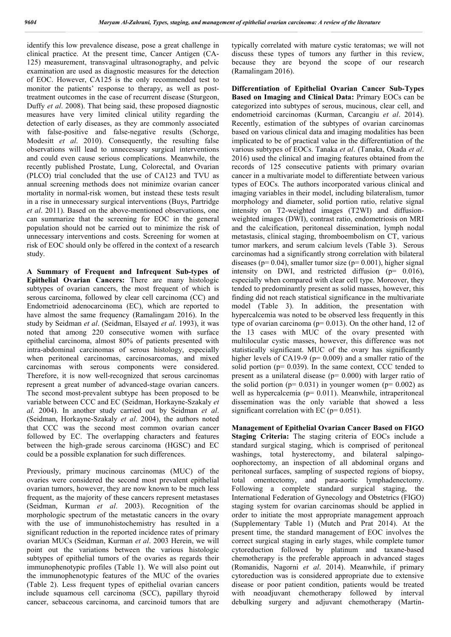identify this low prevalence disease, pose a great challenge in clinical practice. At the present time, Cancer Antigen (CA-125) measurement, transvaginal ultrasonography, and pelvic examination are used as diagnostic measures for the detection of EOC. However, CA125 is the only recommended test to monitor the patients' response to therapy, as well as posttreatment outcomes in the case of recurrent disease (Sturgeon, Duffy *et al*. 2008). That being said, these proposed diagnostic measures have very limited clinical utility regarding the detection of early diseases, as they are commonly associated with false-positive and false-negative results (Schorge, Modesitt *et al*. 2010). Consequently, the resulting false observations will lead to unnecessary surgical interventions and could even cause serious complications. Meanwhile, the recently published Prostate, Lung, Colorectal, and Ovarian (PLCO) trial concluded that the use of CA123 and TVU as annual screening methods does not minimize ovarian cancer mortality in normal-risk women, but instead these tests result in a rise in unnecessary surgical interventions (Buys, Partridge *et al*. 2011). Based on the above-mentioned observations, one can summarize that the screening for EOC in the general population should not be carried out to minimize the risk of unnecessary interventions and costs. Screening for women at risk of EOC should only be offered in the context of a research study.

**A Summary of Frequent and Infrequent Sub-types of Epithelial Ovarian Cancers:** There are many histologic subtypes of ovarian cancers, the most frequent of which is serous carcinoma, followed by clear cell carcinoma (CC) and Endometrioid adenocarcinoma (EC), which are reported to have almost the same frequency (Ramalingam 2016). In the study by Seidman *et al*. (Seidman, Elsayed *et al*. 1993), it was noted that among 220 consecutive women with surface epithelial carcinoma, almost 80% of patients presented with intra-abdominal carcinomas of serous histology, especially when peritoneal carcinomas, carcinosarcomas, and mixed carcinomas with serous components were considered. Therefore, it is now well-recognized that serous carcinomas represent a great number of advanced-stage ovarian cancers. The second most-prevalent subtype has been proposed to be variable between CCC and EC (Seidman, Horkayne-Szakaly *et al*. 2004). In another study carried out by Seidman *et al*. (Seidman, Horkayne-Szakaly *et al*. 2004), the authors noted that CCC was the second most common ovarian cancer followed by EC. The overlapping characters and features between the high-grade serous carcinoma (HGSC) and EC could be a possible explanation for such differences.

Previously, primary mucinous carcinomas (MUC) of the ovaries were considered the second most prevalent epithelial ovarian tumors, however, they are now known to be much less frequent, as the majority of these cancers represent metastases (Seidman, Kurman *et al*. 2003). Recognition of the morphologic spectrum of the metastatic cancers in the ovary with the use of immunohistochemistry has resulted in a significant reduction in the reported incidence rates of primary ovarian MUCs (Seidman, Kurman *et al*. 2003 Herein, we will point out the variations between the various histologic subtypes of epithelial tumors of the ovaries as regards their immunophenotypic profiles (Table 1). We will also point out the immunophenotypic features of the MUC of the ovaries (Table 2). Less frequent types of epithelial ovarian cancers include squamous cell carcinoma (SCC), papillary thyroid cancer, sebaceous carcinoma, and carcinoid tumors that are

typically correlated with mature cystic teratomas; we will not discuss these types of tumors any further in this review, because they are beyond the scope of our research (Ramalingam 2016).

**Differentiation of Epithelial Ovarian Cancer Sub-Types Based on Imaging and Clinical Data:** Primary EOCs can be categorized into subtypes of serous, mucinous, clear cell, and endometrioid carcinomas (Kurman, Carcangiu *et al*. 2014). Recently, estimation of the subtypes of ovarian carcinomas based on various clinical data and imaging modalities has been implicated to be of practical value in the differentiation of the various subtypes of EOCs. Tanaka *et al*. (Tanaka, Okada *et al*. 2016) used the clinical and imaging features obtained from the records of 125 consecutive patients with primary ovarian cancer in a multivariate model to differentiate between various types of EOCs. The authors incorporated various clinical and imaging variables in their model, including bilateralism, tumor morphology and diameter, solid portion ratio, relative signal intensity on T2-weighted images (T2WI) and diffusionweighted images (DWI), contrast ratio, endometriosis on MRI and the calcification, peritoneal dissemination, lymph nodal metastasis, clinical staging, thromboembolism on CT, various tumor markers, and serum calcium levels (Table 3). Serous carcinomas had a significantly strong correlation with bilateral diseases ( $p= 0.04$ ), smaller tumor size ( $p= 0.001$ ), higher signal intensity on DWI, and restricted diffusion ( $p= 0.016$ ), especially when compared with clear cell type. Moreover, they tended to predominantly present as solid masses, however, this finding did not reach statistical significance in the multivariate model (Table 3). In addition, the presentation with hypercalcemia was noted to be observed less frequently in this type of ovarian carcinoma (p= 0.013). On the other hand, 12 of the 13 cases with MUC of the ovary presented with multilocular cystic masses, however, this difference was not statistically significant. MUC of the ovary has significantly higher levels of CA19-9 ( $p= 0.009$ ) and a smaller ratio of the solid portion ( $p= 0.039$ ). In the same context, CCC tended to present as a unilateral disease (p= 0.000) with larger ratio of the solid portion ( $p= 0.031$ ) in younger women ( $p= 0.002$ ) as well as hypercalcemia (p=  $0.011$ ). Meanwhile, intraperitoneal dissemination was the only variable that showed a less significant correlation with EC ( $p= 0.051$ ).

**Management of Epithelial Ovarian Cancer Based on FIGO Staging Criteria:** The staging criteria of EOCs include a standard surgical staging, which is comprised of peritoneal washings, total hysterectomy, and bilateral salpingooophorectomy, an inspection of all abdominal organs and peritoneal surfaces, sampling of suspected regions of biopsy, total omentectomy, and para-aortic lymphadenectomy. Following a complete standard surgical staging, the International Federation of Gynecology and Obstetrics (FIGO) staging system for ovarian carcinomas should be applied in order to initiate the most appropriate management approach (Supplementary Table 1) (Mutch and Prat 2014). At the present time, the standard management of EOC involves the correct surgical staging in early stages, while complete tumor cytoreduction followed by platinum and taxane-based chemotherapy is the preferable approach in advanced stages (Romanidis, Nagorni *et al*. 2014). Meanwhile, if primary cytoreduction was is considered appropriate due to extensive disease or poor patient condition, patients would be treated with neoadjuvant chemotherapy followed by interval debulking surgery and adjuvant chemotherapy (Martin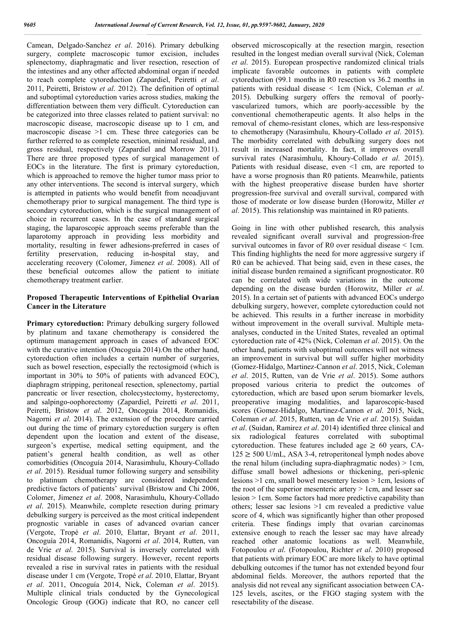Camean, Delgado-Sanchez *et al*. 2016). Primary debulking surgery, complete macroscopic tumor excision, includes splenectomy, diaphragmatic and liver resection, resection of the intestines and any other affected abdominal organ if needed to reach complete cytoreduction (Zapardiel, Peiretti *et al*. 2011, Peiretti, Bristow *et al*. 2012). The definition of optimal and suboptimal cytoreduction varies across studies, making the differentiation between them very difficult. Cytoreduction can be categorized into three classes related to patient survival: no macroscopic disease, macroscopic disease up to 1 cm, and macroscopic disease >1 cm. These three categories can be further referred to as complete resection, minimal residual, and gross residual, respectively (Zapardiel and Morrow 2011). There are three proposed types of surgical management of EOCs in the literature. The first is primary cytoreduction, which is approached to remove the higher tumor mass prior to any other interventions. The second is interval surgery, which is attempted in patients who would benefit from neoadjuvant chemotherapy prior to surgical management. The third type is secondary cytoreduction, which is the surgical management of choice in recurrent cases. In the case of standard surgical staging, the laparoscopic approach seems preferable than the laparotomy approach in providing less morbidity and mortality, resulting in fewer adhesions-preferred in cases of fertility preservation, reducing in-hospital stay, and accelerating recovery (Colomer, Jimenez *et al*. 2008). All of these beneficial outcomes allow the patient to initiate chemotherapy treatment earlier.

### **Proposed Therapeutic Interventions of Epithelial Ovarian Cancer in the Literature**

**Primary cytoreduction:** Primary debulking surgery followed by platinum and taxane chemotherapy is considered the optimum management approach in cases of advanced EOC with the curative intention (Oncoguía 2014).On the other hand, cytoreduction often includes a certain number of surgeries, such as bowel resection, especially the rectosigmoid (which is important in 30% to 50% of patients with advanced EOC), diaphragm stripping, peritoneal resection, splenectomy, partial pancreatic or liver resection, cholecystectomy, hysterectomy, and salpingo-oophorectomy (Zapardiel, Peiretti *et al*. 2011, Peiretti, Bristow *et al*. 2012, Oncoguía 2014, Romanidis, Nagorni *et al*. 2014). The extension of the procedure carried out during the time of primary cytoreduction surgery is often dependent upon the location and extent of the disease, surgeon's expertise, medical setting equipment, and the patient's general health condition, as well as other comorbidities (Oncoguía 2014, Narasimhulu, Khoury-Collado *et al*. 2015). Residual tumor following surgery and sensibility to platinum chemotherapy are considered independent predictive factors of patients' survival (Bristow and Chi 2006, Colomer, Jimenez *et al*. 2008, Narasimhulu, Khoury-Collado *et al*. 2015). Meanwhile, complete resection during primary debulking surgery is perceived as the most critical independent prognostic variable in cases of advanced ovarian cancer (Vergote, Tropé *et al*. 2010, Elattar, Bryant *et al*. 2011, Oncoguía 2014, Romanidis, Nagorni *et al*. 2014, Rutten, van de Vrie *et al*. 2015). Survival is inversely correlated with residual disease following surgery. However, recent reports revealed a rise in survival rates in patients with the residual disease under 1 cm (Vergote, Tropé *et al*. 2010, Elattar, Bryant *et al*. 2011, Oncoguía 2014, Nick, Coleman *et al*. 2015). Multiple clinical trials conducted by the Gynecological Oncologic Group (GOG) indicate that RO, no cancer cell

observed microscopically at the resection margin, resection resulted in the longest median overall survival (Nick, Coleman *et al*. 2015). European prospective randomized clinical trials implicate favorable outcomes in patients with complete cytoreduction (99.1 months in R0 resection vs 36.2 months in patients with residual disease < 1cm (Nick, Coleman *et al*. 2015). Debulking surgery offers the removal of poorlyvascularized tumors, which are poorly-accessible by the conventional chemotherapeutic agents. It also helps in the removal of chemo-resistant clones, which are less-responsive to chemotherapy (Narasimhulu, Khoury-Collado *et al*. 2015). The morbidity correlated with debulking surgery does not result in increased mortality. In fact, it improves overall survival rates (Narasimhulu, Khoury-Collado *et al*. 2015). Patients with residual disease, even <1 cm, are reported to have a worse prognosis than R0 patients. Meanwhile, patients with the highest preoperative disease burden have shorter progression-free survival and overall survival, compared with those of moderate or low disease burden (Horowitz, Miller *et al*. 2015). This relationship was maintained in R0 patients.

Going in line with other published research, this analysis revealed significant overall survival and progression-free survival outcomes in favor of R0 over residual disease < 1cm. This finding highlights the need for more aggressive surgery if R0 can be achieved. That being said, even in these cases, the initial disease burden remained a significant prognosticator. R0 can be correlated with wide variations in the outcome depending on the disease burden (Horowitz, Miller *et al*. 2015). In a certain set of patients with advanced EOCs undergo debulking surgery, however, complete cytoreduction could not be achieved. This results in a further increase in morbidity without improvement in the overall survival. Multiple metaanalyses, conducted in the United States, revealed an optimal cytoreduction rate of 42% (Nick, Coleman *et al*. 2015). On the other hand, patients with suboptimal outcomes will not witness an improvement in survival but will suffer higher morbidity (Gomez-Hidalgo, Martinez-Cannon *et al*. 2015, Nick, Coleman *et al*. 2015, Rutten, van de Vrie *et al*. 2015). Some authors proposed various criteria to predict the outcomes of cytoreduction, which are based upon serum biomarker levels, preoperative imaging modalities, and laparoscopic-based scores (Gomez-Hidalgo, Martinez-Cannon *et al*. 2015, Nick, Coleman *et al*. 2015, Rutten, van de Vrie *et al*. 2015). Suidan *et al*. (Suidan, Ramirez *et al*. 2014) identified three clinical and six radiological features correlated with suboptimal cytoreduction. These features included age  $\geq 60$  years, CA-125 ≥ 500 U/mL, ASA 3-4, retroperitoneal lymph nodes above the renal hilum (including supra-diaphragmatic nodes) > 1cm, diffuse small bowel adhesions or thickening, peri-splenic lesions >1 cm, small bowel mesentery lesion > 1cm, lesions of the root of the superior mesenteric artery > 1cm, and lesser sac lesion > 1cm. Some factors had more predictive capability than others; lesser sac lesions >1 cm revealed a predictive value score of 4, which was significantly higher than other proposed criteria. These findings imply that ovarian carcinomas extensive enough to reach the lesser sac may have already reached other anatomic locations as well. Meanwhile, Fotopoulou *et al*. (Fotopoulou, Richter *et al*. 2010) proposed that patients with primary EOC are more likely to have optimal debulking outcomes if the tumor has not extended beyond four abdominal fields. Moreover, the authors reported that the analysis did not reveal any significant association between CA-125 levels, ascites, or the FIGO staging system with the resectability of the disease.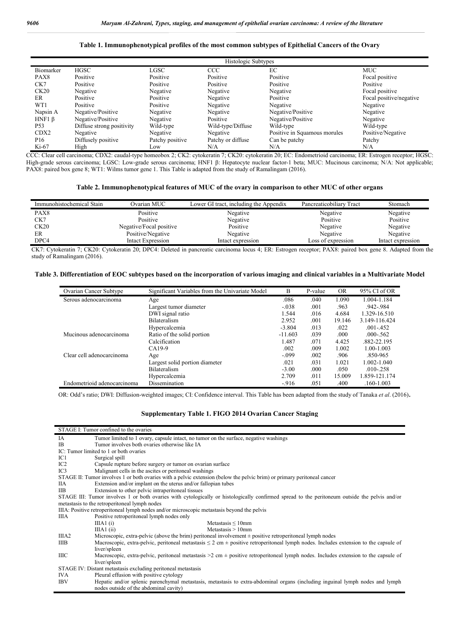### **Table 1. Immunophenotypical profiles of the most common subtypes of Epithelial Cancers of the Ovary**

|                 |                           |                 | Histologic Subtypes |                              |                         |
|-----------------|---------------------------|-----------------|---------------------|------------------------------|-------------------------|
| Biomarker       | <b>HGSC</b>               | LGSC            | CCC                 | EC                           | <b>MUC</b>              |
| PAX8            | Positive                  | Positive        | Positive            | Positive                     | Focal positive          |
| CK7             | Positive                  | Positive        | Positive            | Positive                     | Positive                |
| CK20            | Negative                  | Negative        | Negative            | Negative                     | Focal positive          |
| ER              | Positive                  | Positive        | Negative            | Positive                     | Focal positive/negative |
| WT1             | Positive                  | Positive        | Negative            | Negative                     | Negative                |
| Napsin A        | Negative/Positive         | Negative        | Negative            | Negative/Positive            | Negative                |
| HNF1 $\beta$    | Negative/Positive         | Negative        | Positive            | Negative/Positive            | Negative                |
| P <sub>53</sub> | Diffuse strong positivity | Wild-type       | Wild-type/Diffuse   | Wild-type                    | Wild-type               |
| CDX2            | Negative                  | Negative        | Negative            | Positive in Squamous morules | Positive/Negative       |
| P <sub>16</sub> | Diffusely positive        | Patchy positive | Patchy or diffuse   | Can be patchy                | Patchy                  |
| $Ki-67$         | High                      | Low             | N/A                 | N/A                          | N/A                     |

CCC: Clear cell carcinoma; CDX2: caudal-type homeobox 2; CK2: cytokeratin 7; CK20: cytokeratin 20; EC: Endometrioid carcinoma; ER: Estrogen receptor; HGSC: High-grade serous carcinoma; LGSC: Low-grade serous carcinoma; HNF1 β: Hepatocyte nuclear factor-1 beta; MUC: Mucinous carcinoma; N/A: Not applicable; PAX8: paired box gene 8; WT1: Wilms tumor gene 1. This Table is adapted from the study of Ramalingam (2016).

### **Table 2. Immunophenotypical features of MUC of the ovary in comparison to other MUC of other organs**

| Immunohistochemical Stain | Ovarian MUC             | Lower GI tract, including the Appendix | Pancreaticobiliary Tract | Stomach           |
|---------------------------|-------------------------|----------------------------------------|--------------------------|-------------------|
| PAX8                      | Positive                | Negative                               | Negative                 | Negative          |
| CK7                       | Positive                | Negative                               | Positive                 | Positive          |
| CK20                      | Negative/Focal positive | Positive                               | Negative                 | Negative          |
| ER                        | Positive/Negative       | Negative                               | Negative                 | Negative          |
| DPC4                      | Intact Expression       | Intact expression                      | Loss of expression       | Intact expression |

CK7: Cytokeratin 7; CK20: Cytokeratin 20; DPC4: Deleted in pancreatic carcinoma locus 4; ER: Estrogen receptor; PAX8: paired box gene 8. Adapted from the study of Ramalingam (2016).

| Table 3. Differentiation of EOC subtypes based on the incorporation of various imaging and clinical variables in a Multivariate Model |  |  |
|---------------------------------------------------------------------------------------------------------------------------------------|--|--|
|                                                                                                                                       |  |  |

| Ovarian Cancer Subtype      | Significant Variables from the Univariate Model | B         | P-value | <b>OR</b> | 95% CI of OR    |
|-----------------------------|-------------------------------------------------|-----------|---------|-----------|-----------------|
| Serous adenocarcinoma       | Age                                             | .086      | .040    | 1.090     | 1.004-1.184     |
|                             | Largest tumor diameter                          | $-.038$   | .001    | .963      | .942-.984       |
|                             | DWI signal ratio                                | 1.544     | .016    | 4.684     | 1.329-16.510    |
|                             | <b>Bilateralism</b>                             | 2.952     | .001    | 19.146    | 3.149-116.424   |
|                             | Hypercalcemia                                   | $-3.804$  | .013    | .022      | $.001 - .452$   |
| Mucinous adenocarcinoma     | Ratio of the solid portion                      | $-11.603$ | .039    | .000      | $.000 - .562$   |
|                             | Calcification                                   | 1.487     | .071    | 4.425     | .882-22.195     |
|                             | $CA19-9$                                        | .002      | .009    | 1.002     | 1.00-1.003      |
| Clear cell adenocarcinoma   | Age                                             | $-.099$   | .002    | .906      | .850-965        |
|                             | Largest solid portion diameter                  | .021      | .031    | 1.021     | $1.002 - 1.040$ |
|                             | <b>Bilateralism</b>                             | $-3.00$   | .000.   | .050      | $.010 - .258$   |
|                             | Hypercalcemia                                   | 2.709     | .011    | 15.009    | 1.859-121.174   |
| Endometrioid adenocarcinoma | Dissemination                                   | $-916$    | .051    | .400      | .160-1.003      |

OR: Odd's ratio; DWI: Diffusion-weighted images; CI: Confidence interval. This Table has been adapted from the study of Tanaka *et al*. (2016).

|             | STAGE I: Tumor confined to the ovaries                                                                                                        |
|-------------|-----------------------------------------------------------------------------------------------------------------------------------------------|
| IA          | Tumor limited to 1 ovary, capsule intact, no tumor on the surface, negative washings                                                          |
| $_{\rm IB}$ | Tumor involves both ovaries otherwise like IA                                                                                                 |
|             | IC: Tumor limited to 1 or both ovaries                                                                                                        |
| IC1         | Surgical spill                                                                                                                                |
| IC2         | Capsule rupture before surgery or tumor on ovarian surface                                                                                    |
| IC3         | Malignant cells in the ascites or peritoneal washings                                                                                         |
|             | STAGE II: Tumor involves 1 or both ovaries with a pelvic extension (below the pelvic brim) or primary peritoneal cancer                       |
| IIА         | Extension and/or implant on the uterus and/or fallopian tubes                                                                                 |
| <b>IIB</b>  | Extension to other pelvic intraperitoneal tissues                                                                                             |
|             | STAGE III: Tumor involves 1 or both ovaries with cytologically or histologically confirmed spread to the peritoneum outside the pelvis and/or |
|             | metastasis to the retroperitoneal lymph nodes                                                                                                 |
|             | IIIA: Positive retroperitoneal lymph nodes and/or microscopic metastasis beyond the pelvis                                                    |
| ШA          | Positive retroperitoneal lymph nodes only                                                                                                     |
|             | Metastasis $\leq 10$ mm<br>IIIA1(i)                                                                                                           |
|             | Metastasis $> 10$ mm<br>$IIIA1$ (ii)                                                                                                          |
| IIIA2       | Microscopic, extra-pelvic (above the brim) peritoneal involvement $\pm$ positive retroperitoneal lymph nodes                                  |
| <b>IIIB</b> | Macroscopic, extra-pelvic, peritoneal metastasis $\leq 2$ cm $\pm$ positive retroperitoneal lymph nodes. Includes extension to the capsule of |
|             | liver/spleen                                                                                                                                  |
| ШC          | Macroscopic, extra-pelvic, peritoneal metastasis $>2$ cm $\pm$ positive retroperitoneal lymph nodes. Includes extension to the capsule of     |
|             | liver/spleen                                                                                                                                  |
|             | STAGE IV: Distant metastasis excluding peritoneal metastasis                                                                                  |
| <b>IVA</b>  | Pleural effusion with positive cytology                                                                                                       |
| <b>IBV</b>  | Hepatic and/or splenic parenchymal metastasis, metastasis to extra-abdominal organs (including inguinal lymph nodes and lymph                 |
|             | nodes outside of the abdominal cavity)                                                                                                        |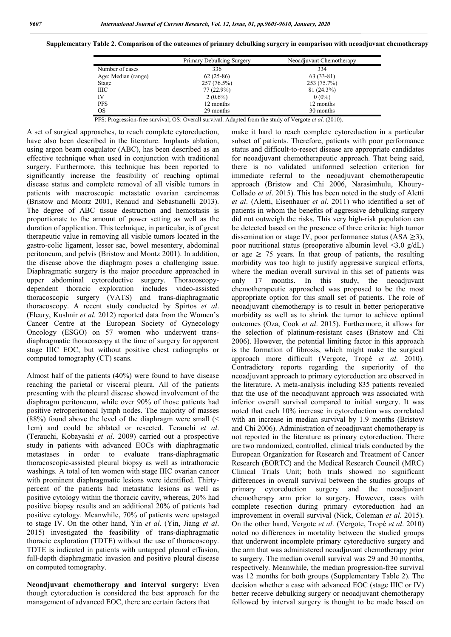|  | Supplementary Table 2. Comparison of the outcomes of primary debulking surgery in comparison with neoadjuvant chemotherapy |  |  |  |  |
|--|----------------------------------------------------------------------------------------------------------------------------|--|--|--|--|
|  |                                                                                                                            |  |  |  |  |

|                     | Primary Debulking Surgery | Neoadjuvant Chemotherapy |
|---------------------|---------------------------|--------------------------|
| Number of cases     | 336                       | 334                      |
| Age: Median (range) | $62(25-86)$               | $63(33-81)$              |
| Stage               | 257 (76.5%)               | 253 (75.7%)              |
| ШC                  | 77 (22.9%)                | 81 (24.3%)               |
| IV                  | $2(0.6\%)$                | $0(0\%)$                 |
| <b>PFS</b>          | 12 months                 | 12 months                |
| OS                  | 29 months                 | 30 months                |

PFS: Progression-free survival; OS: Overall survival. Adapted from the study of Vergote *et al*. (2010).

A set of surgical approaches, to reach complete cytoreduction, have also been described in the literature. Implants ablation, using argon beam coagulator (ABC), has been described as an effective technique when used in conjunction with traditional surgery. Furthermore, this technique has been reported to significantly increase the feasibility of reaching optimal disease status and complete removal of all visible tumors in patients with macroscopic metastatic ovarian carcinomas (Bristow and Montz 2001, Renaud and Sebastianelli 2013). The degree of ABC tissue destruction and hemostasis is proportionate to the amount of power setting as well as the duration of application. This technique, in particular, is of great therapeutic value in removing all visible tumors located in the gastro-colic ligament, lesser sac, bowel mesentery, abdominal peritoneum, and pelvis (Bristow and Montz 2001). In addition, the disease above the diaphragm poses a challenging issue. Diaphragmatic surgery is the major procedure approached in upper abdominal cytoreductive surgery. Thoracoscopydependent thoracic exploration includes video-assisted thoracoscopic surgery (VATS) and trans-diaphragmatic thoracoscopy. A recent study conducted by Spirtos *et al*. (Fleury, Kushnir *et al*. 2012) reported data from the Women's Cancer Centre at the European Society of Gynecology Oncology (ESGO) on 57 women who underwent transdiaphragmatic thoracoscopy at the time of surgery for apparent stage IIIC EOC, but without positive chest radiographs or computed tomography (CT) scans.

Almost half of the patients (40%) were found to have disease reaching the parietal or visceral pleura. All of the patients presenting with the pleural disease showed involvement of the diaphragm peritoneum, while over 90% of those patients had positive retroperitoneal lymph nodes. The majority of masses  $(88%)$  found above the level of the diaphragm were small  $($ 1cm) and could be ablated or resected. Terauchi *et al*. (Terauchi, Kobayashi *et al*. 2009) carried out a prospective study in patients with advanced EOCs with diaphragmatic metastases in order to evaluate trans-diaphragmatic thoracoscopic-assisted pleural biopsy as well as intrathoracic washings. A total of ten women with stage IIIC ovarian cancer with prominent diaphragmatic lesions were identified. Thirtypercent of the patients had metastatic lesions as well as positive cytology within the thoracic cavity, whereas, 20% had positive biopsy results and an additional 20% of patients had positive cytology. Meanwhile, 70% of patients were upstaged to stage IV. On the other hand, Yin *et al*. (Yin, Jiang *et al*. 2015) investigated the feasibility of trans-diaphragmatic thoracic exploration (TDTE) without the use of thoracoscopy. TDTE is indicated in patients with untapped pleural effusion, full-depth diaphragmatic invasion and positive pleural disease on computed tomography.

**Neoadjuvant chemotherapy and interval surgery:** Even though cytoreduction is considered the best approach for the management of advanced EOC, there are certain factors that

make it hard to reach complete cytoreduction in a particular subset of patients. Therefore, patients with poor performance status and difficult-to-resect disease are appropriate candidates for neoadjuvant chemotherapeutic approach. That being said, there is no validated uniformed selection criterion for immediate referral to the neoadjuvant chemotherapeutic approach (Bristow and Chi 2006, Narasimhulu, Khoury-Collado *et al*. 2015). This has been noted in the study of Aletti *et al*. (Aletti, Eisenhauer *et al*. 2011) who identified a set of patients in whom the benefits of aggressive debulking surgery did not outweigh the risks. This very high-risk population can be detected based on the presence of three criteria: high tumor dissemination or stage IV, poor performance status (ASA  $\geq$ 3), poor nutritional status (preoperative albumin level <3.0 g/dL) or age  $\geq$  75 years. In that group of patients, the resulting morbidity was too high to justify aggressive surgical efforts, where the median overall survival in this set of patients was only 17 months. In this study, the neoadjuvant chemotherapeutic approached was proposed to be the most appropriate option for this small set of patients. The role of neoadjuvant chemotherapy is to result in better perioperative morbidity as well as to shrink the tumor to achieve optimal outcomes (Oza, Cook *et al*. 2015). Furthermore, it allows for the selection of platinum-resistant cases (Bristow and Chi 2006). However, the potential limiting factor in this approach is the formation of fibrosis, which might make the surgical approach more difficult (Vergote, Tropé *et al*. 2010). Contradictory reports regarding the superiority of the neoadjuvant approach to primary cytoreduction are observed in the literature. A meta-analysis including 835 patients revealed that the use of the neoadjuvant approach was associated with inferior overall survival compared to initial surgery. It was noted that each 10% increase in cytoreduction was correlated with an increase in median survival by 1.9 months (Bristow and Chi 2006). Administration of neoadjuvant chemotherapy is not reported in the literature as primary cytoreduction. There are two randomized, controlled, clinical trials conducted by the European Organization for Research and Treatment of Cancer Research (EORTC) and the Medical Research Council (MRC) Clinical Trials Unit; both trials showed no significant differences in overall survival between the studies groups of primary cytoreduction surgery and the neoadjuvant chemotherapy arm prior to surgery. However, cases with complete resection during primary cytoreduction had an improvement in overall survival (Nick, Coleman *et al*. 2015). On the other hand, Vergote *et al*. (Vergote, Tropé *et al*. 2010) noted no differences in mortality between the studied groups that underwent incomplete primary cytoreductive surgery and the arm that was administered neoadjuvant chemotherapy prior to surgery. The median overall survival was 29 and 30 months, respectively. Meanwhile, the median progression-free survival was 12 months for both groups (Supplementary Table 2). The decision whether a case with advanced EOC (stage IIIC or IV) better receive debulking surgery or neoadjuvant chemotherapy followed by interval surgery is thought to be made based on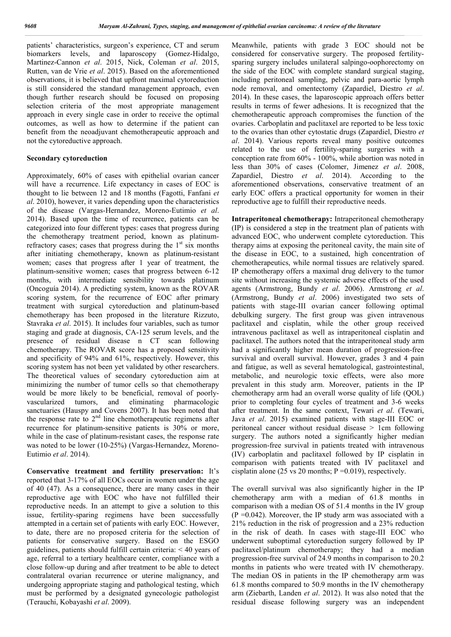patients' characteristics, surgeon's experience, CT and serum biomarkers levels, and laparoscopy (Gomez-Hidalgo, Martinez-Cannon *et al*. 2015, Nick, Coleman *et al*. 2015, Rutten, van de Vrie *et al*. 2015). Based on the aforementioned observations, it is believed that upfront maximal cytoreduction is still considered the standard management approach, even though further research should be focused on proposing selection criteria of the most appropriate management approach in every single case in order to receive the optimal outcomes, as well as how to determine if the patient can benefit from the neoadjuvant chemotherapeutic approach and not the cytoreductive approach.

#### **Secondary cytoreduction**

Approximately, 60% of cases with epithelial ovarian cancer will have a recurrence. Life expectancy in cases of EOC is thought to lie between 12 and 18 months (Fagotti, Fanfani *et al*. 2010), however, it varies depending upon the characteristics of the disease (Vargas-Hernandez, Moreno-Eutimio *et al*. 2014). Based upon the time of recurrence, patients can be categorized into four different types: cases that progress during the chemotherapy treatment period, known as platinumrefractory cases; cases that progress during the  $1<sup>st</sup>$  six months after initiating chemotherapy, known as platinum-resistant women; cases that progress after 1 year of treatment, the platinum-sensitive women; cases that progress between 6-12 months, with intermediate sensibility towards platinum (Oncoguía 2014). A predicting system, known as the ROVAR scoring system, for the recurrence of EOC after primary treatment with surgical cytoreduction and platinum-based chemotherapy has been proposed in the literature Rizzuto, Stavraka *et al*. 2015). It includes four variables, such as tumor staging and grade at diagnosis, CA-125 serum levels, and the presence of residual disease n CT scan following chemotherapy. The ROVAR score has a proposed sensitivity and specificity of 94% and 61%, respectively. However, this scoring system has not been yet validated by other researchers. The theoretical values of secondary cytoreduction aim at minimizing the number of tumor cells so that chemotherapy would be more likely to be beneficial, removal of poorlyvascularized tumors, and eliminating pharmacologic sanctuaries (Hauspy and Covens 2007). It has been noted that the response rate to  $2<sup>nd</sup>$  line chemotherapeutic regimens after recurrence for platinum-sensitive patients is 30% or more, while in the case of platinum-resistant cases, the response rate was noted to be lower (10-25%) (Vargas-Hernandez, Moreno-Eutimio *et al*. 2014).

**Conservative treatment and fertility preservation:** It's reported that 3-17% of all EOCs occur in women under the age of 40 (47). As a consequence, there are many cases in their reproductive age with EOC who have not fulfilled their reproductive needs. In an attempt to give a solution to this issue, fertility-sparing regimens have been successfully attempted in a certain set of patients with early EOC. However, to date, there are no proposed criteria for the selection of patients for conservative surgery. Based on the ESGO guidelines, patients should fulfill certain criteria: < 40 years of age, referral to a tertiary healthcare center, compliance with a close follow-up during and after treatment to be able to detect contralateral ovarian recurrence or uterine malignancy, and undergoing appropriate staging and pathological testing, which must be performed by a designated gynecologic pathologist (Terauchi, Kobayashi *et al*. 2009).

Meanwhile, patients with grade 3 EOC should not be considered for conservative surgery. The proposed fertilitysparing surgery includes unilateral salpingo-oophorectomy on the side of the EOC with complete standard surgical staging, including peritoneal sampling, pelvic and para-aortic lymph node removal, and omentectomy (Zapardiel, Diestro *et al*. 2014). In these cases, the laparoscopic approach offers better results in terms of fewer adhesions. It is recognized that the chemotherapeutic approach compromises the function of the ovaries. Carboplatin and paclitaxel are reported to be less toxic to the ovaries than other cytostatic drugs (Zapardiel, Diestro *et al*. 2014). Various reports reveal many positive outcomes related to the use of fertility-sparing surgeries with a conception rate from 60% - 100%, while abortion was noted in less than 30% of cases (Colomer, Jimenez *et al*. 2008, Zapardiel, Diestro *et al*. 2014). According to the aforementioned observations, conservative treatment of an early EOC offers a practical opportunity for women in their reproductive age to fulfill their reproductive needs.

**Intraperitoneal chemotherapy:** Intraperitoneal chemotherapy (IP) is considered a step in the treatment plan of patients with advanced EOC, who underwent complete cytoreduction. This therapy aims at exposing the peritoneal cavity, the main site of the disease in EOC, to a sustained, high concentration of chemotherapeutics, while normal tissues are relatively spared. IP chemotherapy offers a maximal drug delivery to the tumor site without increasing the systemic adverse effects of the used agents (Armstrong, Bundy *et al*. 2006). Armstrong *et al*. (Armstrong, Bundy *et al*. 2006) investigated two sets of patients with stage-III ovarian cancer following optimal debulking surgery. The first group was given intravenous paclitaxel and cisplatin, while the other group received intravenous paclitaxel as well as intraperitoneal cisplatin and paclitaxel. The authors noted that the intraperitoneal study arm had a significantly higher mean duration of progression-free survival and overall survival. However, grades 3 and 4 pain and fatigue, as well as several hematological, gastrointestinal, metabolic, and neurologic toxic effects, were also more prevalent in this study arm. Moreover, patients in the IP chemotherapy arm had an overall worse quality of life (QOL) prior to completing four cycles of treatment and 3-6 weeks after treatment. In the same context, Tewari *et al*. (Tewari, Java *et al*. 2015) examined patients with stage-III EOC or peritoneal cancer without residual disease > 1cm following surgery. The authors noted a significantly higher median progression-free survival in patients treated with intravenous (IV) carboplatin and paclitaxel followed by IP cisplatin in comparison with patients treated with IV paclitaxel and cisplatin alone (25 vs 20 months;  $P = 0.019$ ), respectively.

The overall survival was also significantly higher in the IP chemotherapy arm with a median of 61.8 months in comparison with a median OS of 51.4 months in the IV group  $(P = 0.042)$ . Moreover, the IP study arm was associated with a 21% reduction in the risk of progression and a 23% reduction in the risk of death. In cases with stage-III EOC who underwent suboptimal cytoreduction surgery followed by IP paclitaxel/platinum chemotherapy; they had a median progression-free survival of 24.9 months in comparison to 20.2 months in patients who were treated with IV chemotherapy. The median OS in patients in the IP chemotherapy arm was 61.8 months compared to 50.9 months in the IV chemotherapy arm (Ziebarth, Landen *et al*. 2012). It was also noted that the residual disease following surgery was an independent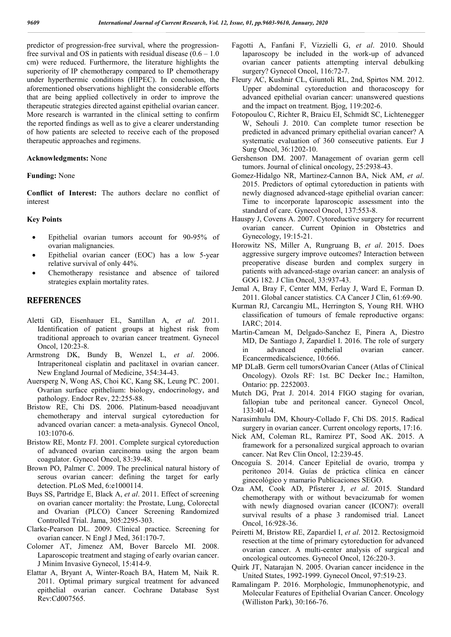predictor of progression-free survival, where the progressionfree survival and OS in patients with residual disease  $(0.6 - 1.0)$ cm) were reduced. Furthermore, the literature highlights the superiority of IP chemotherapy compared to IP chemotherapy under hyperthermic conditions (HIPEC). In conclusion, the aforementioned observations highlight the considerable efforts that are being applied collectively in order to improve the therapeutic strategies directed against epithelial ovarian cancer. More research is warranted in the clinical setting to confirm the reported findings as well as to give a clearer understanding of how patients are selected to receive each of the proposed therapeutic approaches and regimens.

**Acknowledgments:** None

#### **Funding:** None

**Conflict of Interest:** The authors declare no conflict of interest

## **Key Points**

- Epithelial ovarian tumors account for 90-95% of ovarian malignancies.
- Epithelial ovarian cancer (EOC) has a low 5-year relative survival of only 44%.
- Chemotherapy resistance and absence of tailored strategies explain mortality rates.

## **REFERENCES**

- Aletti GD, Eisenhauer EL, Santillan A, *et al*. 2011. Identification of patient groups at highest risk from traditional approach to ovarian cancer treatment. Gynecol Oncol, 120:23-8.
- Armstrong DK, Bundy B, Wenzel L, *et al*. 2006. Intraperitoneal cisplatin and paclitaxel in ovarian cancer. New England Journal of Medicine, 354:34-43.
- Auersperg N, Wong AS, Choi KC, Kang SK, Leung PC. 2001. Ovarian surface epithelium: biology, endocrinology, and pathology. Endocr Rev, 22:255-88.
- Bristow RE, Chi DS. 2006. Platinum-based neoadjuvant chemotherapy and interval surgical cytoreduction for advanced ovarian cancer: a meta-analysis. Gynecol Oncol, 103:1070-6.
- Bristow RE, Montz FJ. 2001. Complete surgical cytoreduction of advanced ovarian carcinoma using the argon beam coagulator. Gynecol Oncol, 83:39-48.
- Brown PO, Palmer C. 2009. The preclinical natural history of serous ovarian cancer: defining the target for early detection. PLoS Med, 6:e1000114.
- Buys SS, Partridge E, Black A, *et al*. 2011. Effect of screening on ovarian cancer mortality: the Prostate, Lung, Colorectal and Ovarian (PLCO) Cancer Screening Randomized Controlled Trial. Jama, 305:2295-303.
- Clarke-Pearson DL. 2009. Clinical practice. Screening for ovarian cancer. N Engl J Med, 361:170-7.
- Colomer AT, Jimenez AM, Bover Barcelo MI. 2008. Laparoscopic treatment and staging of early ovarian cancer. J Minim Invasive Gynecol, 15:414-9.
- Elattar A, Bryant A, Winter-Roach BA, Hatem M, Naik R. 2011. Optimal primary surgical treatment for advanced epithelial ovarian cancer. Cochrane Database Syst Rev:Cd007565.
- Fagotti A, Fanfani F, Vizzielli G, *et al*. 2010. Should laparoscopy be included in the work-up of advanced ovarian cancer patients attempting interval debulking surgery? Gynecol Oncol, 116:72-7.
- Fleury AC, Kushnir CL, Giuntoli RL, 2nd, Spirtos NM. 2012. Upper abdominal cytoreduction and thoracoscopy for advanced epithelial ovarian cancer: unanswered questions and the impact on treatment. Bjog, 119:202-6.
- Fotopoulou C, Richter R, Braicu EI, Schmidt SC, Lichtenegger W, Sehouli J. 2010. Can complete tumor resection be predicted in advanced primary epithelial ovarian cancer? A systematic evaluation of 360 consecutive patients. Eur J Surg Oncol, 36:1202-10.
- Gershenson DM. 2007. Management of ovarian germ cell tumors. Journal of clinical oncology, 25:2938-43.
- Gomez-Hidalgo NR, Martinez-Cannon BA, Nick AM, *et al*. 2015. Predictors of optimal cytoreduction in patients with newly diagnosed advanced-stage epithelial ovarian cancer: Time to incorporate laparoscopic assessment into the standard of care. Gynecol Oncol, 137:553-8.
- Hauspy J, Covens A. 2007. Cytoreductive surgery for recurrent ovarian cancer. Current Opinion in Obstetrics and Gynecology, 19:15-21.
- Horowitz NS, Miller A, Rungruang B, *et al*. 2015. Does aggressive surgery improve outcomes? Interaction between preoperative disease burden and complex surgery in patients with advanced-stage ovarian cancer: an analysis of GOG 182. J Clin Oncol, 33:937-43.
- Jemal A, Bray F, Center MM, Ferlay J, Ward E, Forman D. 2011. Global cancer statistics. CA Cancer J Clin, 61:69-90.
- Kurman RJ, Carcangiu ML, Herrington S, Young RH. WHO classification of tumours of female reproductive organs: IARC; 2014.
- Martin-Camean M, Delgado-Sanchez E, Pinera A, Diestro MD, De Santiago J, Zapardiel I. 2016. The role of surgery in advanced epithelial ovarian cancer. Ecancermedicalscience, 10:666.
- MP DLaB. Germ cell tumorsOvarian Cancer (Atlas of Clinical Oncology). Ozols RF: 1st. BC Decker Inc.; Hamilton, Ontario: pp. 2252003.
- Mutch DG, Prat J. 2014. 2014 FIGO staging for ovarian, fallopian tube and peritoneal cancer. Gynecol Oncol, 133:401-4.
- Narasimhulu DM, Khoury-Collado F, Chi DS. 2015. Radical surgery in ovarian cancer. Current oncology reports, 17:16.
- Nick AM, Coleman RL, Ramirez PT, Sood AK. 2015. A framework for a personalized surgical approach to ovarian cancer. Nat Rev Clin Oncol, 12:239-45.
- Oncoguía S. 2014. Cancer Epitelial de ovario, trompa y peritoneo 2014. Guías de práctica clínica en cáncer ginecológico y mamario Publicaciones SEGO.
- Oza AM, Cook AD, Pfisterer J, *et al*. 2015. Standard chemotherapy with or without bevacizumab for women with newly diagnosed ovarian cancer (ICON7): overall survival results of a phase 3 randomised trial. Lancet Oncol, 16:928-36.
- Peiretti M, Bristow RE, Zapardiel I, *et al*. 2012. Rectosigmoid resection at the time of primary cytoreduction for advanced ovarian cancer. A multi-center analysis of surgical and oncological outcomes. Gynecol Oncol, 126:220-3.
- Quirk JT, Natarajan N. 2005. Ovarian cancer incidence in the United States, 1992-1999. Gynecol Oncol, 97:519-23.
- Ramalingam P. 2016. Morphologic, Immunophenotypic, and Molecular Features of Epithelial Ovarian Cancer. Oncology (Williston Park), 30:166-76.